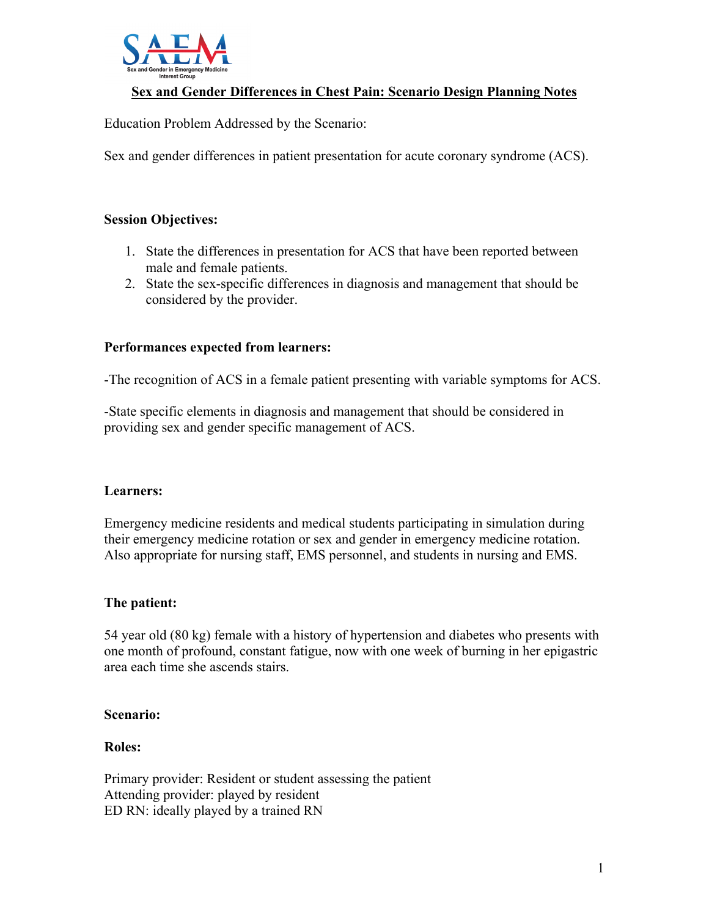

#### **Sex and Gender Differences in Chest Pain: Scenario Design Planning Notes**

Education Problem Addressed by the Scenario:

Sex and gender differences in patient presentation for acute coronary syndrome (ACS).

#### **Session Objectives:**

- 1. State the differences in presentation for ACS that have been reported between male and female patients.
- 2. State the sex-specific differences in diagnosis and management that should be considered by the provider.

#### **Performances expected from learners:**

-The recognition of ACS in a female patient presenting with variable symptoms for ACS.

-State specific elements in diagnosis and management that should be considered in providing sex and gender specific management of ACS.

#### **Learners:**

Emergency medicine residents and medical students participating in simulation during their emergency medicine rotation or sex and gender in emergency medicine rotation. Also appropriate for nursing staff, EMS personnel, and students in nursing and EMS.

#### **The patient:**

54 year old (80 kg) female with a history of hypertension and diabetes who presents with one month of profound, constant fatigue, now with one week of burning in her epigastric area each time she ascends stairs.

#### **Scenario:**

#### **Roles:**

Primary provider: Resident or student assessing the patient Attending provider: played by resident ED RN: ideally played by a trained RN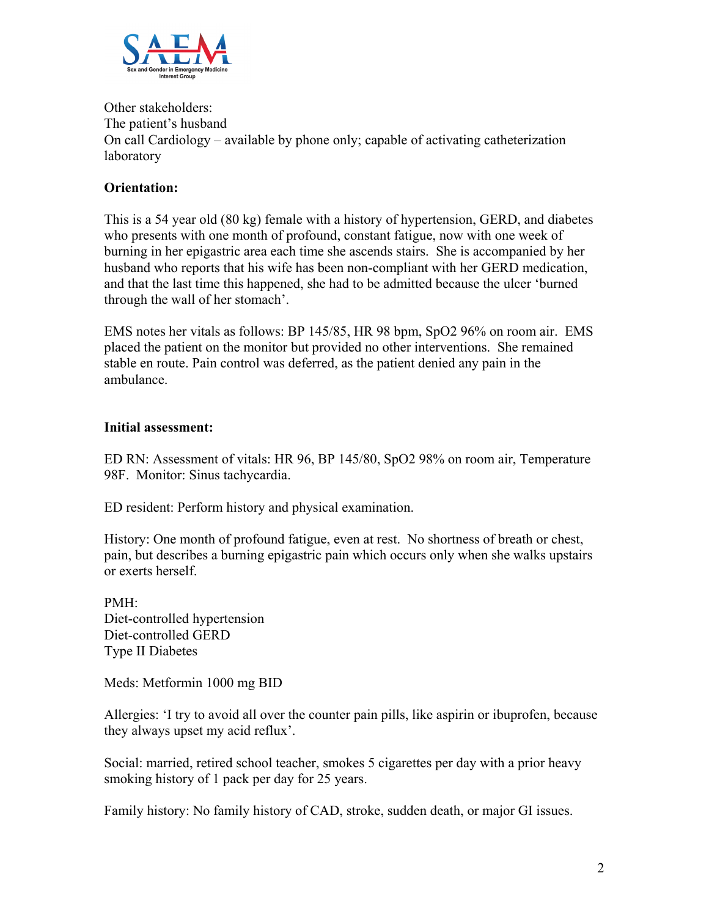

Other stakeholders: The patient's husband On call Cardiology – available by phone only; capable of activating catheterization laboratory

### **Orientation:**

This is a 54 year old (80 kg) female with a history of hypertension, GERD, and diabetes who presents with one month of profound, constant fatigue, now with one week of burning in her epigastric area each time she ascends stairs. She is accompanied by her husband who reports that his wife has been non-compliant with her GERD medication, and that the last time this happened, she had to be admitted because the ulcer 'burned through the wall of her stomach'.

EMS notes her vitals as follows: BP 145/85, HR 98 bpm, SpO2 96% on room air. EMS placed the patient on the monitor but provided no other interventions. She remained stable en route. Pain control was deferred, as the patient denied any pain in the ambulance.

#### **Initial assessment:**

ED RN: Assessment of vitals: HR 96, BP 145/80, SpO2 98% on room air, Temperature 98F. Monitor: Sinus tachycardia.

ED resident: Perform history and physical examination.

History: One month of profound fatigue, even at rest. No shortness of breath or chest, pain, but describes a burning epigastric pain which occurs only when she walks upstairs or exerts herself.

PMH: Diet-controlled hypertension Diet-controlled GERD Type II Diabetes

Meds: Metformin 1000 mg BID

Allergies: 'I try to avoid all over the counter pain pills, like aspirin or ibuprofen, because they always upset my acid reflux'.

Social: married, retired school teacher, smokes 5 cigarettes per day with a prior heavy smoking history of 1 pack per day for 25 years.

Family history: No family history of CAD, stroke, sudden death, or major GI issues.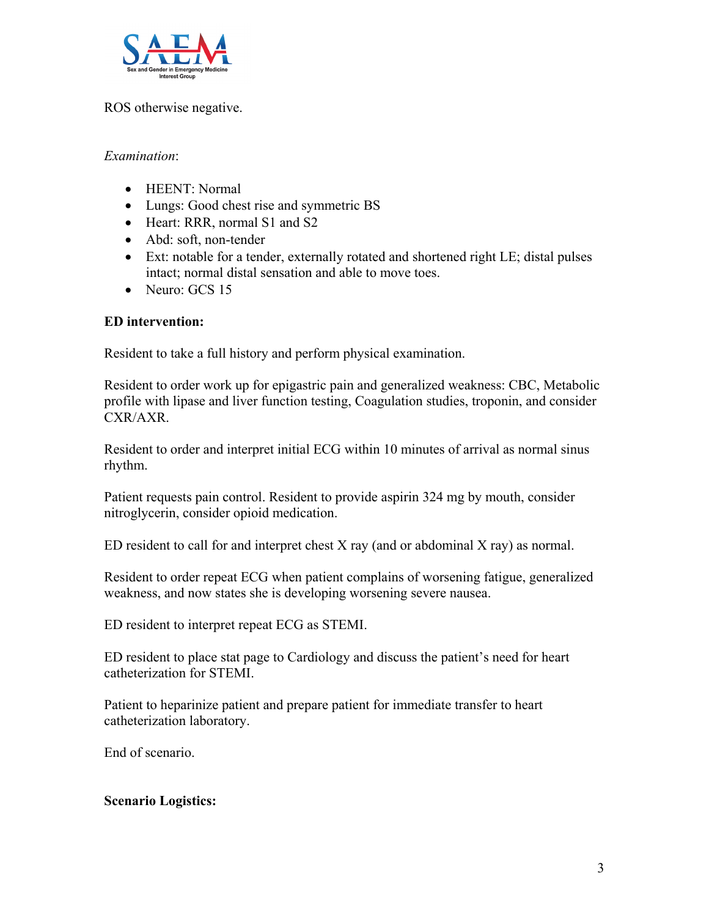

#### ROS otherwise negative.

#### *Examination*:

- HEENT: Normal
- Lungs: Good chest rise and symmetric BS
- Heart: RRR, normal S1 and S2
- Abd: soft, non-tender
- Ext: notable for a tender, externally rotated and shortened right LE; distal pulses intact; normal distal sensation and able to move toes.
- Neuro: GCS 15

#### **ED intervention:**

Resident to take a full history and perform physical examination.

Resident to order work up for epigastric pain and generalized weakness: CBC, Metabolic profile with lipase and liver function testing, Coagulation studies, troponin, and consider CXR/AXR.

Resident to order and interpret initial ECG within 10 minutes of arrival as normal sinus rhythm.

Patient requests pain control. Resident to provide aspirin 324 mg by mouth, consider nitroglycerin, consider opioid medication.

ED resident to call for and interpret chest  $X$  ray (and or abdominal  $X$  ray) as normal.

Resident to order repeat ECG when patient complains of worsening fatigue, generalized weakness, and now states she is developing worsening severe nausea.

ED resident to interpret repeat ECG as STEMI.

ED resident to place stat page to Cardiology and discuss the patient's need for heart catheterization for STEMI.

Patient to heparinize patient and prepare patient for immediate transfer to heart catheterization laboratory.

End of scenario.

#### **Scenario Logistics:**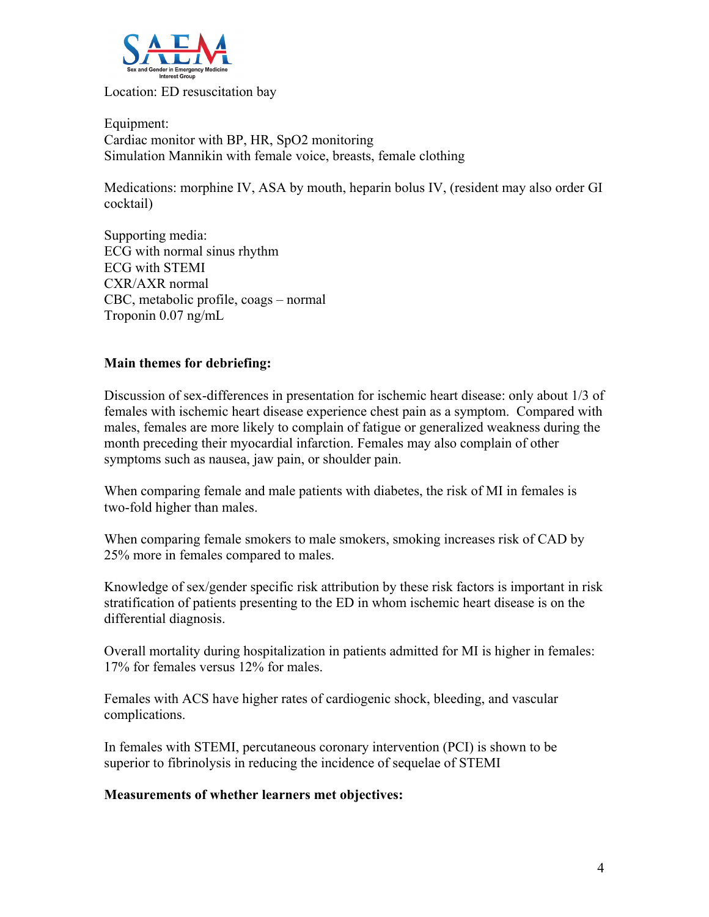

Location: ED resuscitation bay

Equipment: Cardiac monitor with BP, HR, SpO2 monitoring Simulation Mannikin with female voice, breasts, female clothing

Medications: morphine IV, ASA by mouth, heparin bolus IV, (resident may also order GI cocktail)

Supporting media: ECG with normal sinus rhythm ECG with STEMI CXR/AXR normal CBC, metabolic profile, coags – normal Troponin 0.07 ng/mL

#### **Main themes for debriefing:**

Discussion of sex-differences in presentation for ischemic heart disease: only about 1/3 of females with ischemic heart disease experience chest pain as a symptom. Compared with males, females are more likely to complain of fatigue or generalized weakness during the month preceding their myocardial infarction. Females may also complain of other symptoms such as nausea, jaw pain, or shoulder pain.

When comparing female and male patients with diabetes, the risk of MI in females is two-fold higher than males.

When comparing female smokers to male smokers, smoking increases risk of CAD by 25% more in females compared to males.

Knowledge of sex/gender specific risk attribution by these risk factors is important in risk stratification of patients presenting to the ED in whom ischemic heart disease is on the differential diagnosis.

Overall mortality during hospitalization in patients admitted for MI is higher in females: 17% for females versus 12% for males.

Females with ACS have higher rates of cardiogenic shock, bleeding, and vascular complications.

In females with STEMI, percutaneous coronary intervention (PCI) is shown to be superior to fibrinolysis in reducing the incidence of sequelae of STEMI

#### **Measurements of whether learners met objectives:**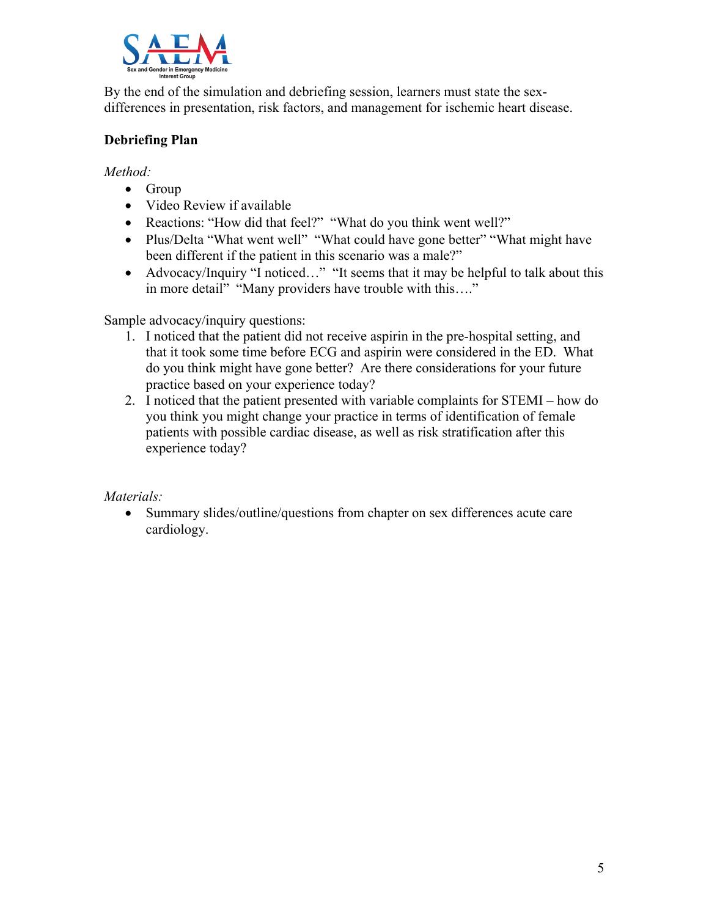

By the end of the simulation and debriefing session, learners must state the sexdifferences in presentation, risk factors, and management for ischemic heart disease.

## **Debriefing Plan**

*Method:* 

- Group
- Video Review if available
- Reactions: "How did that feel?" "What do you think went well?"
- Plus/Delta "What went well" "What could have gone better" "What might have been different if the patient in this scenario was a male?"
- Advocacy/Inquiry "I noticed…" "It seems that it may be helpful to talk about this in more detail" "Many providers have trouble with this...."

Sample advocacy/inquiry questions:

- 1. I noticed that the patient did not receive aspirin in the pre-hospital setting, and that it took some time before ECG and aspirin were considered in the ED. What do you think might have gone better? Are there considerations for your future practice based on your experience today?
- 2. I noticed that the patient presented with variable complaints for STEMI how do you think you might change your practice in terms of identification of female patients with possible cardiac disease, as well as risk stratification after this experience today?

#### *Materials:*

• Summary slides/outline/questions from chapter on sex differences acute care cardiology.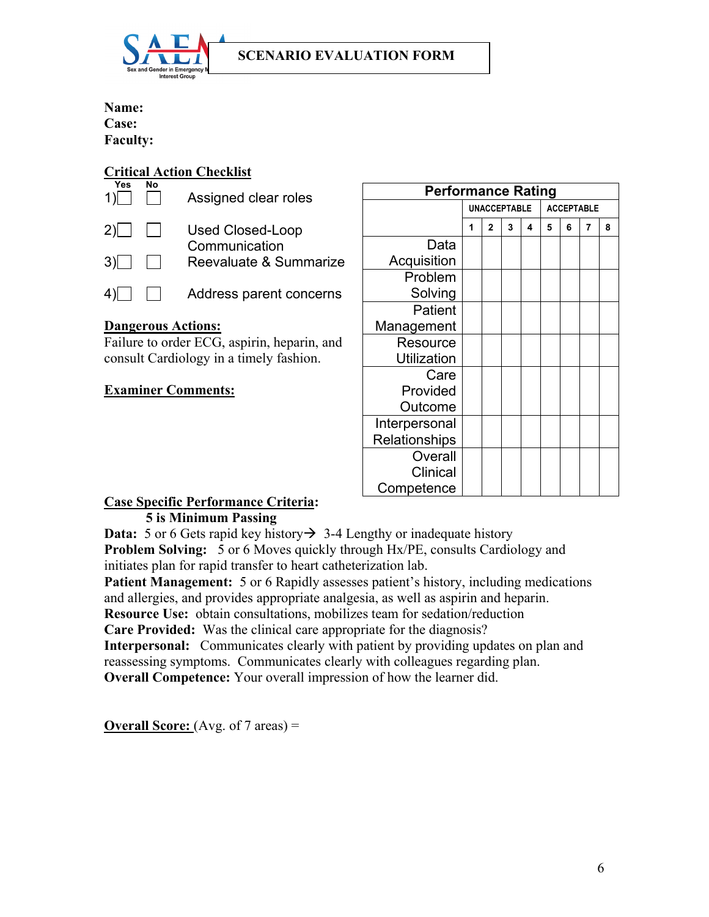

#### **Name:**

**Case: Faculty:**

# **Critical Action Checklist**

| Yes<br>$1\sqrt{ }$ | N٥                        | Assigned clear roles              |
|--------------------|---------------------------|-----------------------------------|
| $2 \mid$           | $\perp$                   | Used Closed-Loop<br>Communication |
| 3)                 | $\mathbf{1}$              | Reevaluate & Summarize            |
| 4)                 | $\mathbf{I} = \mathbf{I}$ | Address parent concerns           |

#### **Dangerous Actions:**

Failure to order ECG, aspirin, heparin, and consult Cardiology in a timely fashion.

## **Examiner Comments:**

| <b>Performance Rating</b> |                     |              |   |                   |   |   |   |   |
|---------------------------|---------------------|--------------|---|-------------------|---|---|---|---|
|                           | <b>UNACCEPTABLE</b> |              |   | <b>ACCEPTABLE</b> |   |   |   |   |
|                           | 1                   | $\mathbf{2}$ | 3 | 4                 | 5 | 6 | 7 | 8 |
| Data                      |                     |              |   |                   |   |   |   |   |
| Acquisition               |                     |              |   |                   |   |   |   |   |
| Problem                   |                     |              |   |                   |   |   |   |   |
| Solving                   |                     |              |   |                   |   |   |   |   |
| Patient                   |                     |              |   |                   |   |   |   |   |
| Management                |                     |              |   |                   |   |   |   |   |
| Resource                  |                     |              |   |                   |   |   |   |   |
| <b>Utilization</b>        |                     |              |   |                   |   |   |   |   |
| Care                      |                     |              |   |                   |   |   |   |   |
| Provided                  |                     |              |   |                   |   |   |   |   |
| Outcome                   |                     |              |   |                   |   |   |   |   |
| Interpersonal             |                     |              |   |                   |   |   |   |   |
| Relationships             |                     |              |   |                   |   |   |   |   |
| Overall                   |                     |              |   |                   |   |   |   |   |
| Clinical                  |                     |              |   |                   |   |   |   |   |
| Competence                |                     |              |   |                   |   |   |   |   |

#### **Case Specific Performance Criteria: 5 is Minimum Passing**

**Data:** 5 or 6 Gets rapid key history  $\rightarrow$  3-4 Lengthy or inadequate history **Problem Solving:** 5 or 6 Moves quickly through Hx/PE, consults Cardiology and

initiates plan for rapid transfer to heart catheterization lab.

**Patient Management:** 5 or 6 Rapidly assesses patient's history, including medications and allergies, and provides appropriate analgesia, as well as aspirin and heparin.

**Resource Use:** obtain consultations, mobilizes team for sedation/reduction

**Care Provided:** Was the clinical care appropriate for the diagnosis?

**Interpersonal:** Communicates clearly with patient by providing updates on plan and reassessing symptoms. Communicates clearly with colleagues regarding plan. **Overall Competence:** Your overall impression of how the learner did.

**Overall Score:** (Avg. of 7 areas) =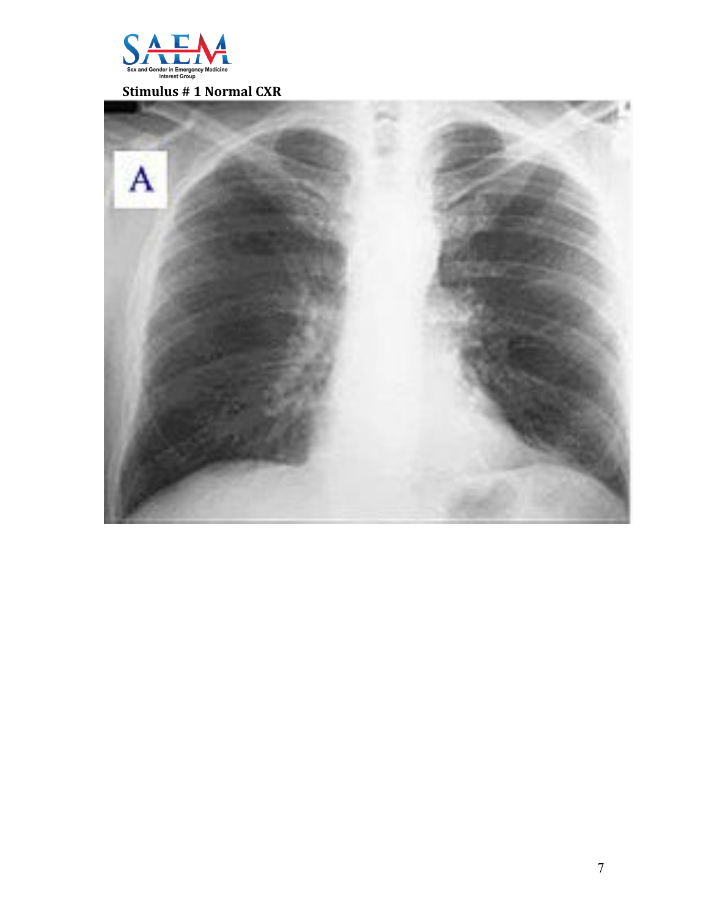

 **Stimulus # 1 Normal CXR**

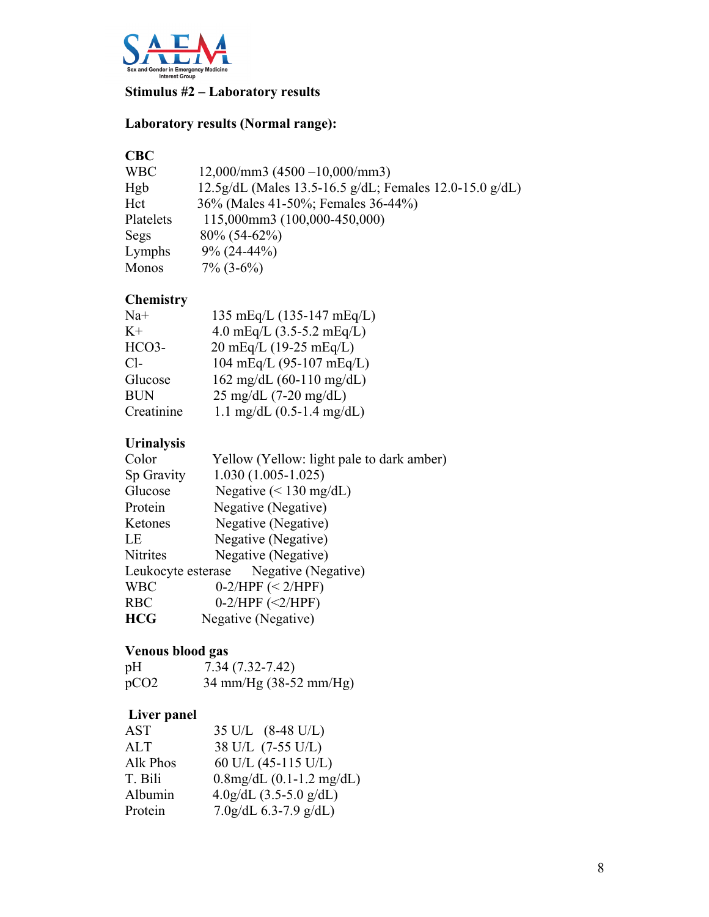

# **Stimulus #2 – Laboratory results**

# **Laboratory results (Normal range):**

# **CBC**

| <b>WBC</b> | $12,000/\text{mm}3(4500 - 10,000/\text{mm}3)$           |
|------------|---------------------------------------------------------|
| Hgb        | 12.5g/dL (Males 13.5-16.5 g/dL; Females 12.0-15.0 g/dL) |
| Hct        | 36% (Males 41-50%; Females 36-44%)                      |
| Platelets  | 115,000mm3 (100,000-450,000)                            |
| Segs       | $80\%$ (54-62%)                                         |
| Lymphs     | $9\%$ (24-44%)                                          |
| Monos      | $7\%$ (3-6%)                                            |

# **Chemistry**

| 135 mEq/L (135-147 mEq/L)                  |
|--------------------------------------------|
| 4.0 mEq/L $(3.5-5.2 \text{ mEq/L})$        |
| 20 mEq/L (19-25 mEq/L)                     |
| 104 mEq/L (95-107 mEq/L)                   |
| $162 \text{ mg/dL} (60-110 \text{ mg/dL})$ |
| $25 \text{ mg/dL}$ (7-20 mg/dL)            |
| 1.1 mg/dL $(0.5-1.4 \text{ mg/dL})$        |
|                                            |

# **Urinalysis**

| Yellow (Yellow: light pale to dark amber) |  |
|-------------------------------------------|--|
| $1.030(1.005-1.025)$                      |  |
| Negative $(< 130$ mg/dL)                  |  |
| Negative (Negative)                       |  |
| Negative (Negative)                       |  |
| Negative (Negative)                       |  |
| Negative (Negative)                       |  |
| Leukocyte esterase Negative (Negative)    |  |
| $0-2/HPF \leq 2/HPF$                      |  |
| $0-2/HPF$ (<2/HPF)                        |  |
| Negative (Negative)                       |  |
|                                           |  |

# **Venous blood gas**

| pH   | $7.34(7.32 - 7.42)$                      |
|------|------------------------------------------|
| pCO2 | $34 \text{ mm/Hg} (38-52 \text{ mm/Hg})$ |

# **Liver panel**

| <b>AST</b> | 35 U/L (8-48 U/L)                     |
|------------|---------------------------------------|
| <b>ALT</b> | 38 U/L (7-55 U/L)                     |
| Alk Phos   | 60 U/L (45-115 U/L)                   |
| T. Bili    | $0.8$ mg/dL $(0.1-1.2 \text{ mg/dL})$ |
| Albumin    | $4.0g/dL$ (3.5-5.0 g/dL)              |
| Protein    | 7.0g/dL $6.3$ -7.9 g/dL)              |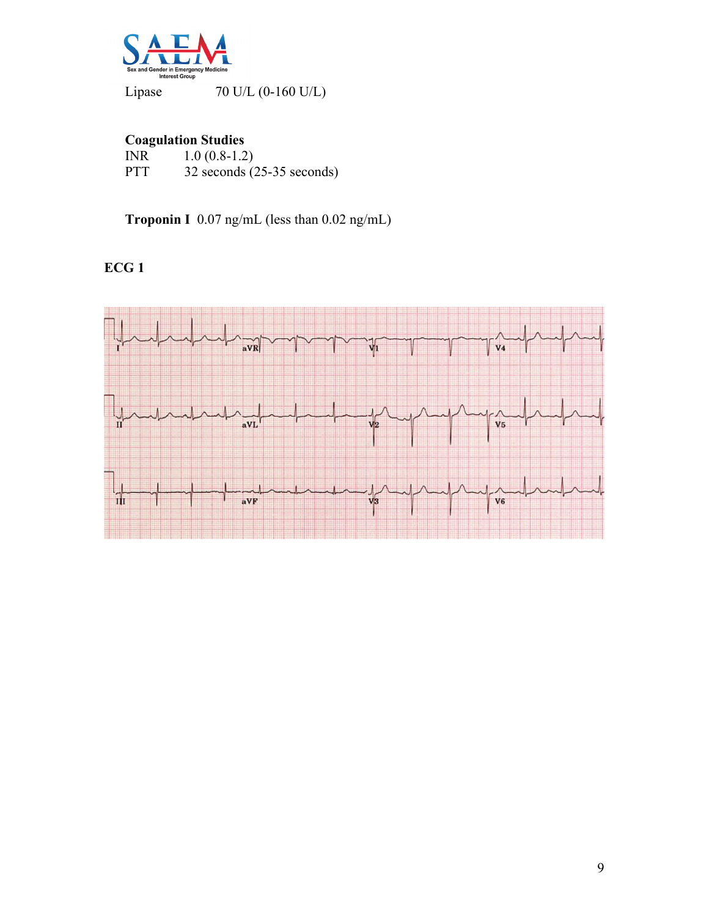

Lipase 70 U/L (0-160 U/L)

# **Coagulation Studies**

| INR | $1.0(0.8-1.2)$                 |
|-----|--------------------------------|
| PTT | $32$ seconds $(25-35$ seconds) |

 **Troponin I** 0.07 ng/mL (less than 0.02 ng/mL)

# **ECG 1**